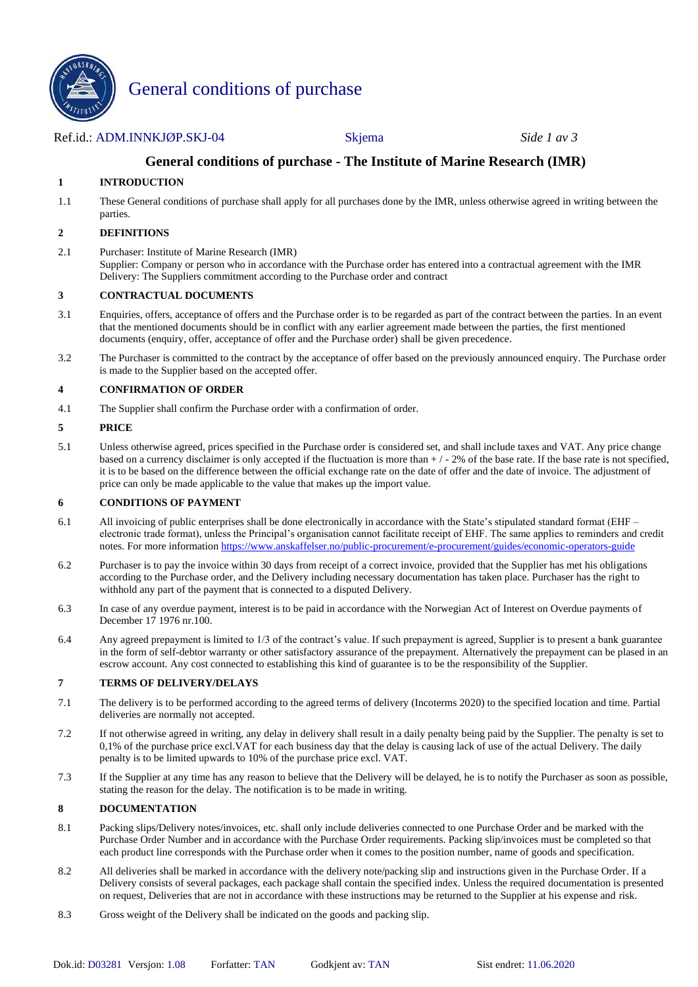

# General conditions of purchase

# Ref.id.: ADM.INNKJØP.SKJ-04 Skjema *Side 1 av 3*

# **General conditions of purchase - The Institute of Marine Research (IMR)**

# **1 INTRODUCTION**

1.1 These General conditions of purchase shall apply for all purchases done by the IMR, unless otherwise agreed in writing between the parties.

#### **2 DEFINITIONS**

2.1 Purchaser: Institute of Marine Research (IMR) Supplier: Company or person who in accordance with the Purchase order has entered into a contractual agreement with the IMR Delivery: The Suppliers commitment according to the Purchase order and contract

#### **3 CONTRACTUAL DOCUMENTS**

- 3.1 Enquiries, offers, acceptance of offers and the Purchase order is to be regarded as part of the contract between the parties. In an event that the mentioned documents should be in conflict with any earlier agreement made between the parties, the first mentioned documents (enquiry, offer, acceptance of offer and the Purchase order) shall be given precedence.
- 3.2 The Purchaser is committed to the contract by the acceptance of offer based on the previously announced enquiry. The Purchase order is made to the Supplier based on the accepted offer.

#### **4 CONFIRMATION OF ORDER**

4.1 The Supplier shall confirm the Purchase order with a confirmation of order.

#### **5 PRICE**

5.1 Unless otherwise agreed, prices specified in the Purchase order is considered set, and shall include taxes and VAT. Any price change based on a currency disclaimer is only accepted if the fluctuation is more than  $+/-2\%$  of the base rate. If the base rate is not specified, it is to be based on the difference between the official exchange rate on the date of offer and the date of invoice. The adjustment of price can only be made applicable to the value that makes up the import value.

#### **6 CONDITIONS OF PAYMENT**

- 6.1 All invoicing of public enterprises shall be done electronically in accordance with the State's stipulated standard format (EHF electronic trade format), unless the Principal's organisation cannot facilitate receipt of EHF. The same applies to reminders and credit notes. For more informatio[n https://www.anskaffelser.no/public-procurement/e-procurement/guides/economic-operators-guide](https://www.anskaffelser.no/public-procurement/e-procurement/guides/economic-operators-guide)
- 6.2 Purchaser is to pay the invoice within 30 days from receipt of a correct invoice, provided that the Supplier has met his obligations according to the Purchase order, and the Delivery including necessary documentation has taken place. Purchaser has the right to withhold any part of the payment that is connected to a disputed Delivery.
- 6.3 In case of any overdue payment, interest is to be paid in accordance with the Norwegian Act of Interest on Overdue payments of December 17 1976 nr.100.
- 6.4 Any agreed prepayment is limited to 1/3 of the contract's value. If such prepayment is agreed, Supplier is to present a bank guarantee in the form of self-debtor warranty or other satisfactory assurance of the prepayment. Alternatively the prepayment can be plased in an escrow account. Any cost connected to establishing this kind of guarantee is to be the responsibility of the Supplier.

#### **7 TERMS OF DELIVERY/DELAYS**

- 7.1 The delivery is to be performed according to the agreed terms of delivery (Incoterms 2020) to the specified location and time. Partial deliveries are normally not accepted.
- 7.2 If not otherwise agreed in writing, any delay in delivery shall result in a daily penalty being paid by the Supplier. The penalty is set to 0,1% of the purchase price excl.VAT for each business day that the delay is causing lack of use of the actual Delivery. The daily penalty is to be limited upwards to 10% of the purchase price excl. VAT.
- 7.3 If the Supplier at any time has any reason to believe that the Delivery will be delayed, he is to notify the Purchaser as soon as possible, stating the reason for the delay. The notification is to be made in writing.

#### **8 DOCUMENTATION**

- 8.1 Packing slips/Delivery notes/invoices, etc. shall only include deliveries connected to one Purchase Order and be marked with the Purchase Order Number and in accordance with the Purchase Order requirements. Packing slip/invoices must be completed so that each product line corresponds with the Purchase order when it comes to the position number, name of goods and specification.
- 8.2 All deliveries shall be marked in accordance with the delivery note/packing slip and instructions given in the Purchase Order. If a Delivery consists of several packages, each package shall contain the specified index. Unless the required documentation is presented on request, Deliveries that are not in accordance with these instructions may be returned to the Supplier at his expense and risk.
- 8.3 Gross weight of the Delivery shall be indicated on the goods and packing slip.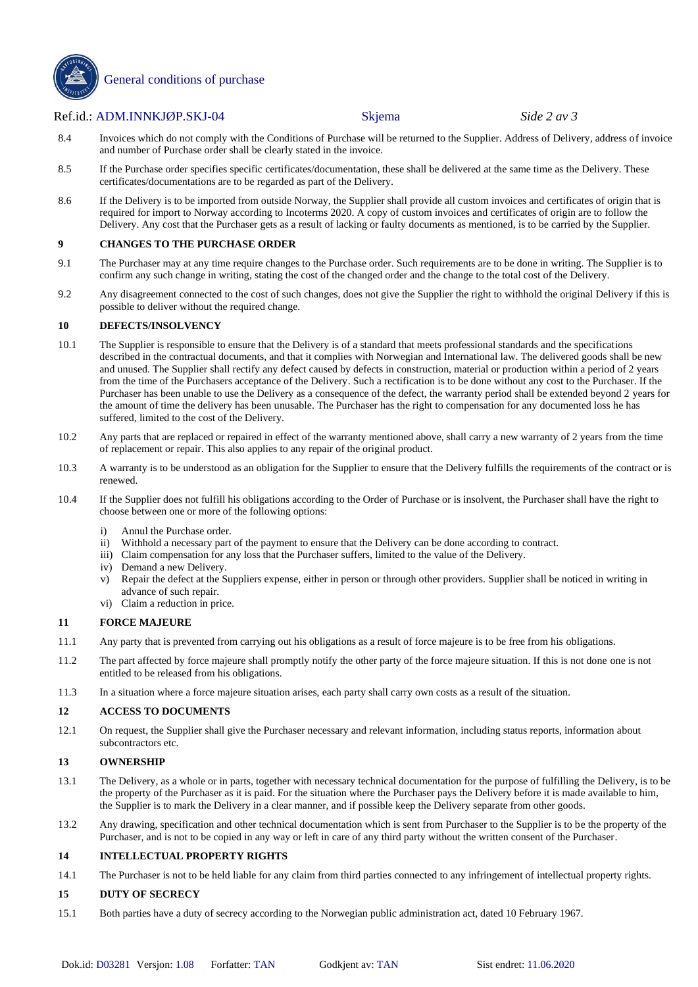

General conditions of purchase

#### Ref.id.: ADM.INNKJØP.SKJ-04 Skjema *Side 2 av 3*

- 8.4 Invoices which do not comply with the Conditions of Purchase will be returned to the Supplier. Address of Delivery, address of invoice and number of Purchase order shall be clearly stated in the invoice.
- 8.5 If the Purchase order specifies specific certificates/documentation, these shall be delivered at the same time as the Delivery. These certificates/documentations are to be regarded as part of the Delivery.
- 8.6 If the Delivery is to be imported from outside Norway, the Supplier shall provide all custom invoices and certificates of origin that is required for import to Norway according to Incoterms 2020. A copy of custom invoices and certificates of origin are to follow the Delivery. Any cost that the Purchaser gets as a result of lacking or faulty documents as mentioned, is to be carried by the Supplier.

#### **9 CHANGES TO THE PURCHASE ORDER**

- 9.1 The Purchaser may at any time require changes to the Purchase order. Such requirements are to be done in writing. The Supplier is to confirm any such change in writing, stating the cost of the changed order and the change to the total cost of the Delivery.
- 9.2 Any disagreement connected to the cost of such changes, does not give the Supplier the right to withhold the original Delivery if this is possible to deliver without the required change.

#### **10 DEFECTS/INSOLVENCY**

- 10.1 The Supplier is responsible to ensure that the Delivery is of a standard that meets professional standards and the specifications described in the contractual documents, and that it complies with Norwegian and International law. The delivered goods shall be new and unused. The Supplier shall rectify any defect caused by defects in construction, material or production within a period of 2 years from the time of the Purchasers acceptance of the Delivery. Such a rectification is to be done without any cost to the Purchaser. If the Purchaser has been unable to use the Delivery as a consequence of the defect, the warranty period shall be extended beyond 2 years for the amount of time the delivery has been unusable. The Purchaser has the right to compensation for any documented loss he has suffered, limited to the cost of the Delivery.
- 10.2 Any parts that are replaced or repaired in effect of the warranty mentioned above, shall carry a new warranty of 2 years from the time of replacement or repair. This also applies to any repair of the original product.
- 10.3 A warranty is to be understood as an obligation for the Supplier to ensure that the Delivery fulfills the requirements of the contract or is renewed.
- 10.4 If the Supplier does not fulfill his obligations according to the Order of Purchase or is insolvent, the Purchaser shall have the right to choose between one or more of the following options:
	- i) Annul the Purchase order.
	- ii) Withhold a necessary part of the payment to ensure that the Delivery can be done according to contract.
	- iii) Claim compensation for any loss that the Purchaser suffers, limited to the value of the Delivery.
	- iv) Demand a new Delivery.
	- v) Repair the defect at the Suppliers expense, either in person or through other providers. Supplier shall be noticed in writing in advance of such repair.
	- vi) Claim a reduction in price.

# **11 FORCE MAJEURE**

- 11.1 Any party that is prevented from carrying out his obligations as a result of force majeure is to be free from his obligations.
- 11.2 The part affected by force majeure shall promptly notify the other party of the force majeure situation. If this is not done one is not entitled to be released from his obligations.
- 11.3 In a situation where a force majeure situation arises, each party shall carry own costs as a result of the situation.

#### **12 ACCESS TO DOCUMENTS**

12.1 On request, the Supplier shall give the Purchaser necessary and relevant information, including status reports, information about subcontractors etc.

#### **13 OWNERSHIP**

- 13.1 The Delivery, as a whole or in parts, together with necessary technical documentation for the purpose of fulfilling the Delivery, is to be the property of the Purchaser as it is paid. For the situation where the Purchaser pays the Delivery before it is made available to him, the Supplier is to mark the Delivery in a clear manner, and if possible keep the Delivery separate from other goods.
- 13.2 Any drawing, specification and other technical documentation which is sent from Purchaser to the Supplier is to be the property of the Purchaser, and is not to be copied in any way or left in care of any third party without the written consent of the Purchaser.

#### **14 INTELLECTUAL PROPERTY RIGHTS**

14.1 The Purchaser is not to be held liable for any claim from third parties connected to any infringement of intellectual property rights.

#### **15 DUTY OF SECRECY**

15.1 Both parties have a duty of secrecy according to the Norwegian public administration act, dated 10 February 1967.